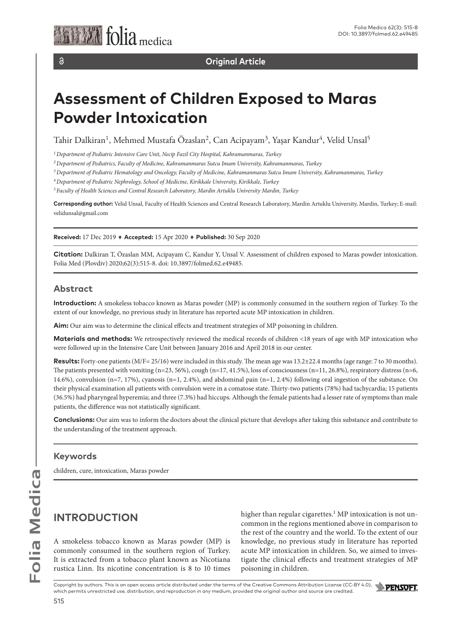$\partial$ 

**Original Article**

# **Assessment of Children Exposed to Maras Powder Intoxication**

Tahir Dalkiran<sup>1</sup>, Mehmed Mustafa Özaslan<sup>2</sup>, Can Acipayam<sup>3</sup>, Yaşar Kandur<sup>4</sup>, Velid Unsal<sup>5</sup>

*1 Department of Pediatric Intensive Care Unit, Necip Fazil City Hospital, Kahramanmaras, Turkey*

*2 Department of Pediatrics, Faculty of Medicine, Kahramanmaras Sutcu Imam University, Kahramanmaras, Turkey*

*3 Department of Pediatric Hematology and Oncology, Faculty of Medicine, Kahramanmaras Sutcu Imam University, Kahramanmaras, Turkey*

*4 Department of Pediatric Nephrology, School of Medicine, Kirikkale University, Kirikkale, Turkey*

*5 Faculty of Health Sciences and Central Research Laboratory, Mardin Artuklu University Mardin, Turkey*

**Corresponding author:** Velid Unsal, Faculty of Health Sciences and Central Research Laboratory, Mardin Artuklu University, Mardin, Turkey; E-mail: velidunsal@gmail.com

**Received:** 17 Dec 2019 ♦ **Accepted:** 15 Apr 2020 ♦ **Published:** 30 Sep 2020

**Citation:** Dalkiran T, Özaslan MM, Acipayam C, Kandur Y, Unsal V. Assessment of children exposed to Maras powder intoxication. Folia Med (Plovdiv) 2020;62(3):515-8. doi: 10.3897/folmed.62.e49485.

#### **Abstract**

**Introduction:** A smokeless tobacco known as Maras powder (MP) is commonly consumed in the southern region of Turkey. To the extent of our knowledge, no previous study in literature has reported acute MP intoxication in children.

**Aim:** Our aim was to determine the clinical effects and treatment strategies of MP poisoning in children.

**Materials and methods:** We retrospectively reviewed the medical records of children <18 years of age with MP intoxication who were followed up in the Intensive Care Unit between January 2016 and April 2018 in our center.

**Results:** Forty-one patients (M/F= 25/16) were included in this study. The mean age was 13.2±22.4 months (age range: 7 to 30 months). The patients presented with vomiting  $(n=23, 56\%)$ , cough  $(n=17, 41.5\%)$ , loss of consciousness  $(n=11, 26.8\%)$ , respiratory distress  $(n=6, 10.5\%)$ 14.6%), convulsion (n=7, 17%), cyanosis (n=1, 2.4%), and abdominal pain (n=1, 2.4%) following oral ingestion of the substance. On their physical examination all patients with convulsion were in a comatose state. Thirty-two patients (78%) had tachycardia; 15 patients (36.5%) had pharyngeal hyperemia; and three (7.3%) had hiccups. Although the female patients had a lesser rate of symptoms than male patients, the difference was not statistically significant.

**Conclusions:** Our aim was to inform the doctors about the clinical picture that develops after taking this substance and contribute to the understanding of the treatment approach.

### **Keywords**

children, cure, intoxication, Maras powder

# **INTRODUCTION**

A smokeless tobacco known as Maras powder (MP) is commonly consumed in the southern region of Turkey. It is extracted from a tobacco plant known as Nicotiana rustica Linn. Its nicotine concentration is 8 to 10 times higher than regular cigarettes.<sup>1</sup> MP intoxication is not uncommon in the regions mentioned above in comparison to the rest of the country and the world. To the extent of our knowledge, no previous study in literature has reported acute MP intoxication in children. So, we aimed to investigate the clinical effects and treatment strategies of MP poisoning in children.

Copyright by authors*.* This is an open access article distributed under the terms of the Creative Commons Attribution License (CC-BY 4.0), which permits unrestricted use, distribution, and reproduction in any medium, provided the original author and source are credited.



Folia Medica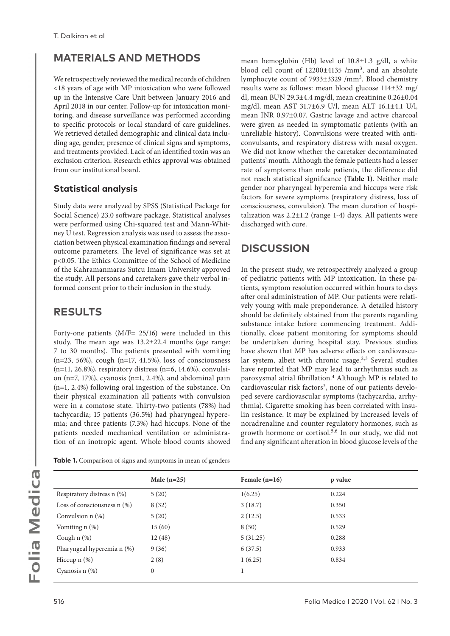# **MATERIALS AND METHODS**

We retrospectively reviewed the medical records of children <18 years of age with MP intoxication who were followed up in the Intensive Care Unit between January 2016 and April 2018 in our center. Follow-up for intoxication monitoring, and disease surveillance was performed according to specific protocols or local standard of care guidelines. We retrieved detailed demographic and clinical data including age, gender, presence of clinical signs and symptoms, and treatments provided. Lack of an identified toxin was an exclusion criterion. Research ethics approval was obtained from our institutional board.

### **Statistical analysis**

Study data were analyzed by SPSS (Statistical Package for Social Science) 23.0 software package. Statistical analyses were performed using Chi-squared test and Mann-Whitney U test. Regression analysis was used to assess the association between physical examination findings and several outcome parameters. The level of significance was set at p<0.05. The Ethics Committee of the School of Medicine of the Kahramanmaras Sutcu Imam University approved the study. All persons and caretakers gave their verbal informed consent prior to their inclusion in the study.

# **RESULTS**

Forty-one patients (M/F= 25/16) were included in this study. The mean age was 13.2±22.4 months (age range: 7 to 30 months). The patients presented with vomiting (n=23, 56%), cough (n=17, 41.5%), loss of consciousness  $(n=11, 26.8\%)$ , respiratory distress  $(n=6, 14.6\%)$ , convulsion (n=7, 17%), cyanosis (n=1, 2.4%), and abdominal pain (n=1, 2.4%) following oral ingestion of the substance. On their physical examination all patients with convulsion were in a comatose state. Thirty-two patients (78%) had tachycardia; 15 patients (36.5%) had pharyngeal hyperemia; and three patients (7.3%) had hiccups. None of the patients needed mechanical ventilation or administration of an inotropic agent. Whole blood counts showed

**Table 1.** Comparison of signs and symptoms in mean of genders

mean hemoglobin (Hb) level of 10.8±1.3 g/dl, a white blood cell count of 12200±4135 /mm3, and an absolute lymphocyte count of 7933±3329 /mm3. Blood chemistry results were as follows: mean blood glucose 114±32 mg/ dl, mean BUN 29.3±4.4 mg/dl, mean creatinine 0.26±0.04 mg/dl, mean AST 31.7±6.9 U/l, mean ALT 16.1±4.1 U/l, mean INR 0.97±0.07. Gastric lavage and active charcoal were given as needed in symptomatic patients (with an unreliable history). Convulsions were treated with anticonvulsants, and respiratory distress with nasal oxygen. We did not know whether the caretaker decontaminated patients' mouth. Although the female patients had a lesser rate of symptoms than male patients, the difference did not reach statistical significance **(Table 1)**. Neither male gender nor pharyngeal hyperemia and hiccups were risk factors for severe symptoms (respiratory distress, loss of consciousness, convulsion). The mean duration of hospitalization was  $2.2 \pm 1.2$  (range 1-4) days. All patients were discharged with cure.

# **DISCUSSION**

In the present study, we retrospectively analyzed a group of pediatric patients with MP intoxication. In these patients, symptom resolution occurred within hours to days after oral administration of MP. Our patients were relatively young with male preponderance. A detailed history should be definitely obtained from the parents regarding substance intake before commencing treatment. Additionally, close patient monitoring for symptoms should be undertaken during hospital stay. Previous studies have shown that MP has adverse effects on cardiovascular system, albeit with chronic usage.<sup>2,3</sup> Several studies have reported that MP may lead to arrhythmias such as paroxysmal atrial fibrillation.4 Although MP is related to cardiovascular risk factors<sup>3</sup>, none of our patients developed severe cardiovascular symptoms (tachycardia, arrhythmia). Cigarette smoking has been correlated with insulin resistance. It may be explained by increased levels of noradrenaline and counter regulatory hormones, such as growth hormone or cortisol.5,6 In our study, we did not find any significant alteration in blood glucose levels of the

|                               | Male $(n=25)$ | Female $(n=16)$ | p value |  |
|-------------------------------|---------------|-----------------|---------|--|
| Respiratory distress n (%)    | 5(20)         | 1(6.25)         | 0.224   |  |
| Loss of consciousness $n$ (%) | 8(32)         | 3(18.7)         | 0.350   |  |
| Convulsion $n$ $(\%)$         | 5(20)         | 2(12.5)         | 0.533   |  |
| Vomiting $n$ $(\%)$           | 15(60)        | 8(50)           | 0.529   |  |
| Cough $n$ $(\%)$              | 12(48)        | 5(31.25)        | 0.288   |  |
| Pharyngeal hyperemia n (%)    | 9(36)         | 6(37.5)         | 0.933   |  |
| Hiccup $n$ $(\%)$             | 2(8)          | 1(6.25)         | 0.834   |  |
| Cyanosis $n$ $(\%)$           | $\mathbf{0}$  |                 |         |  |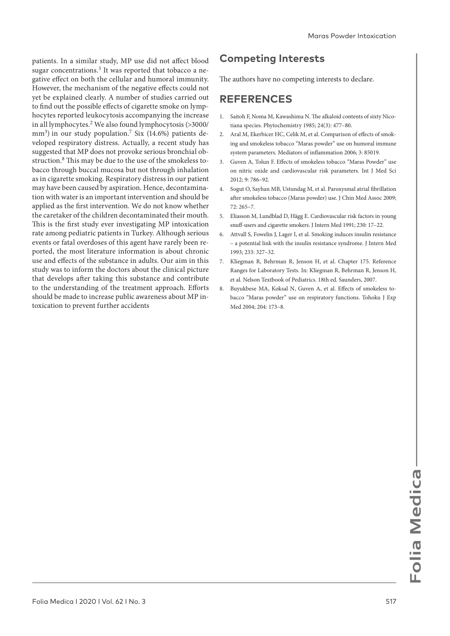patients. In a similar study, MP use did not affect blood sugar concentrations.<sup>3</sup> It was reported that tobacco a negative effect on both the cellular and humoral immunity. However, the mechanism of the negative effects could not yet be explained clearly. A number of studies carried out to find out the possible effects of cigarette smoke on lymphocytes reported leukocytosis accompanying the increase in all lymphocytes.2 We also found lymphocytosis (>3000/ mm<sup>3</sup> ) in our study population.7 Six (14.6%) patients developed respiratory distress. Actually, a recent study has suggested that MP does not provoke serious bronchial obstruction.<sup>8</sup> This may be due to the use of the smokeless tobacco through buccal mucosa but not through inhalation as in cigarette smoking. Respiratory distress in our patient may have been caused by aspiration. Hence, decontamination with water is an important intervention and should be applied as the first intervention. We do not know whether the caretaker of the children decontaminated their mouth. This is the first study ever investigating MP intoxication rate among pediatric patients in Turkey. Although serious events or fatal overdoses of this agent have rarely been reported, the most literature information is about chronic use and effects of the substance in adults. Our aim in this study was to inform the doctors about the clinical picture that develops after taking this substance and contribute to the understanding of the treatment approach. Efforts should be made to increase public awareness about MP intoxication to prevent further accidents

# **Competing Interests**

The authors have no competing interests to declare.

### **REFERENCES**

- 1. Saitoh F, Noma M, Kawashima N. The alkaloid contents of sixty Nicotiana species. Phytochemistry 1985; 24(3): 477–80.
- 2. Aral M, Ekerbicer HC, Celik M, et al. Comparison of effects of smoking and smokeless tobacco "Maras powder" use on humoral immune system parameters. Mediators of inflammation 2006; 3: 85019.
- 3. Guven A, Tolun F. Effects of smokeless tobacco "Maras Powder" use on nitric oxide and cardiovascular risk parameters. Int J Med Sci 2012; 9: 786–92.
- 4. Sogut O, Sayhan MB, Ustundag M, et al. Paroxysmal atrial fibrillation after smokeless tobacco (Maras powder) use. J Chin Med Assoc 2009; 72: 265–7.
- 5. Eliasson M, Lundblad D, Hägg E. Cardiovascular risk factors in young snuff-users and cigarette smokers. J Intern Med 1991; 230: 17-22.
- 6. Attvall S, Fowelin J, Lager I, et al. Smoking induces insulin resistance – a potential link with the insulin resistance syndrome. J Intern Med 1993; 233: 327–32.
- 7. Kliegman R, Behrman R, Jenson H, et al. Chapter 175. Reference Ranges for Laboratory Tests. In: Kliegman R, Behrman R, Jenson H, et al. Nelson Textbook of Pediatrics. 18th ed. Saunders, 2007.
- 8. Buyukbese MA, Koksal N, Guven A, et al. Effects of smokeless tobacco "Maras powder" use on respiratory functions. Tohoku J Exp Med 2004; 204: 173–8.